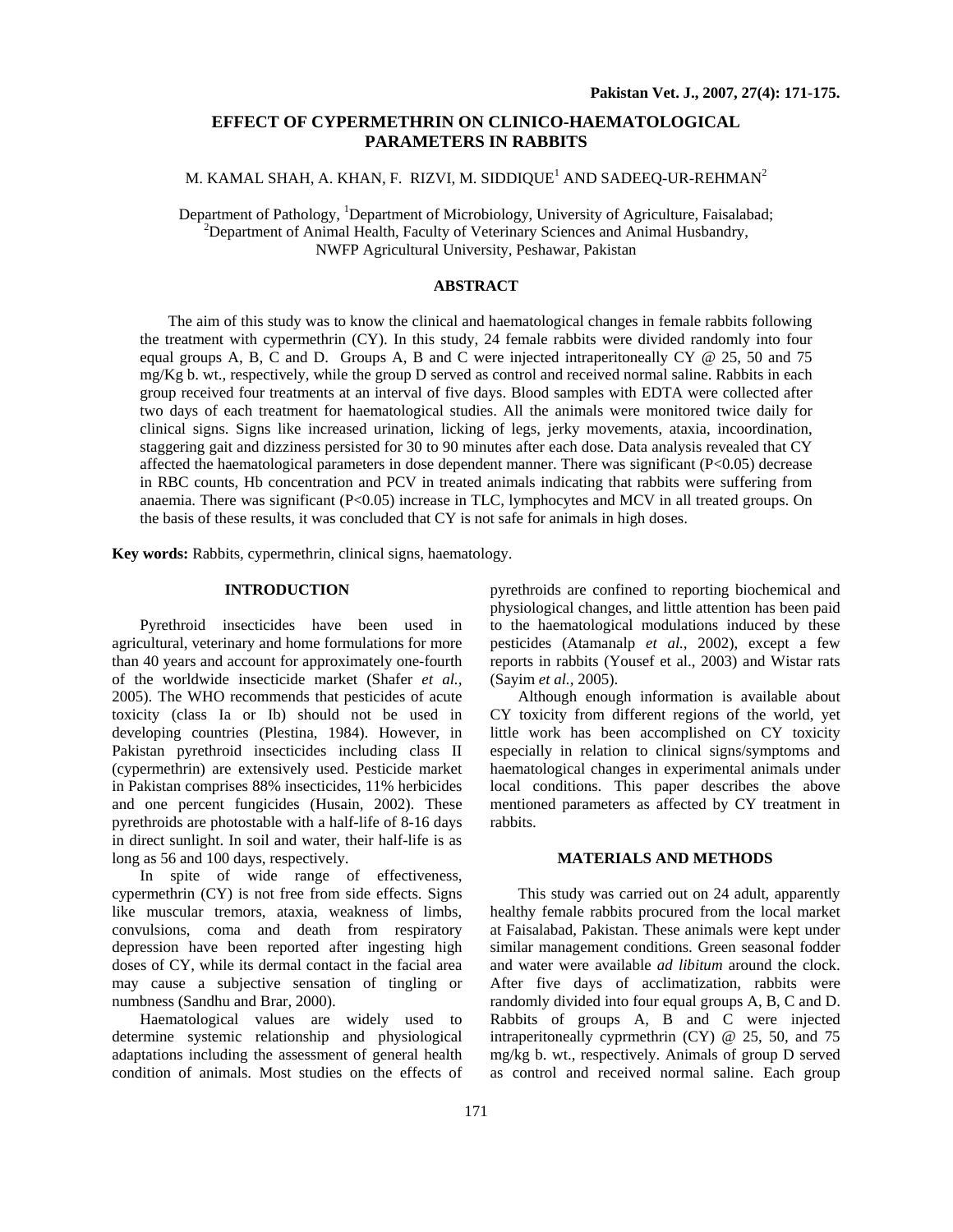## **EFFECT OF CYPERMETHRIN ON CLINICO-HAEMATOLOGICAL PARAMETERS IN RABBITS**

# M. KAMAL SHAH, A. KHAN, F. RIZVI, M. SIDDIQUE $^{\rm l}$  AND SADEEQ-UR-REHMAN $^{\rm 2}$

Department of Pathology, <sup>1</sup>Department of Microbiology, University of Agriculture, Faisalabad;<br><sup>2</sup>Department of Agimal Haalth, Faculty of Vaterinam: Sciences and Agimal Hyphondry. <sup>2</sup>Department of Animal Health, Faculty of Veterinary Sciences and Animal Husbandry, NWFP Agricultural University, Peshawar, Pakistan

## **ABSTRACT**

The aim of this study was to know the clinical and haematological changes in female rabbits following the treatment with cypermethrin (CY). In this study, 24 female rabbits were divided randomly into four equal groups A, B, C and D. Groups A, B and C were injected intraperitoneally CY  $\omega$  25, 50 and 75 mg/Kg b. wt., respectively, while the group D served as control and received normal saline. Rabbits in each group received four treatments at an interval of five days. Blood samples with EDTA were collected after two days of each treatment for haematological studies. All the animals were monitored twice daily for clinical signs. Signs like increased urination, licking of legs, jerky movements, ataxia, incoordination, staggering gait and dizziness persisted for 30 to 90 minutes after each dose. Data analysis revealed that CY affected the haematological parameters in dose dependent manner. There was significant  $(P<0.05)$  decrease in RBC counts, Hb concentration and PCV in treated animals indicating that rabbits were suffering from anaemia. There was significant (P<0.05) increase in TLC, lymphocytes and MCV in all treated groups. On the basis of these results, it was concluded that CY is not safe for animals in high doses.

**Key words:** Rabbits, cypermethrin, clinical signs, haematology.

### **INTRODUCTION**

Pyrethroid insecticides have been used in agricultural, veterinary and home formulations for more than 40 years and account for approximately one-fourth of the worldwide insecticide market (Shafer *et al.,* 2005). The WHO recommends that pesticides of acute toxicity (class Ia or Ib) should not be used in developing countries (Plestina, 1984). However, in Pakistan pyrethroid insecticides including class II (cypermethrin) are extensively used. Pesticide market in Pakistan comprises 88% insecticides, 11% herbicides and one percent fungicides (Husain, 2002). These pyrethroids are photostable with a half-life of 8-16 days in direct sunlight. In soil and water, their half-life is as long as 56 and 100 days, respectively.

In spite of wide range of effectiveness, cypermethrin (CY) is not free from side effects. Signs like muscular tremors, ataxia, weakness of limbs, convulsions, coma and death from respiratory depression have been reported after ingesting high doses of CY, while its dermal contact in the facial area may cause a subjective sensation of tingling or numbness (Sandhu and Brar, 2000).

Haematological values are widely used to determine systemic relationship and physiological adaptations including the assessment of general health condition of animals. Most studies on the effects of pyrethroids are confined to reporting biochemical and physiological changes, and little attention has been paid to the haematological modulations induced by these pesticides (Atamanalp *et al.,* 2002), except a few reports in rabbits (Yousef et al., 2003) and Wistar rats (Sayim *et al.,* 2005).

Although enough information is available about CY toxicity from different regions of the world, yet little work has been accomplished on CY toxicity especially in relation to clinical signs/symptoms and haematological changes in experimental animals under local conditions. This paper describes the above mentioned parameters as affected by CY treatment in rabbits.

#### **MATERIALS AND METHODS**

This study was carried out on 24 adult, apparently healthy female rabbits procured from the local market at Faisalabad, Pakistan. These animals were kept under similar management conditions. Green seasonal fodder and water were available *ad libitum* around the clock. After five days of acclimatization, rabbits were randomly divided into four equal groups A, B, C and D. Rabbits of groups A, B and C were injected intraperitoneally cyprmethrin (CY) @ 25, 50, and 75 mg/kg b. wt., respectively. Animals of group D served as control and received normal saline. Each group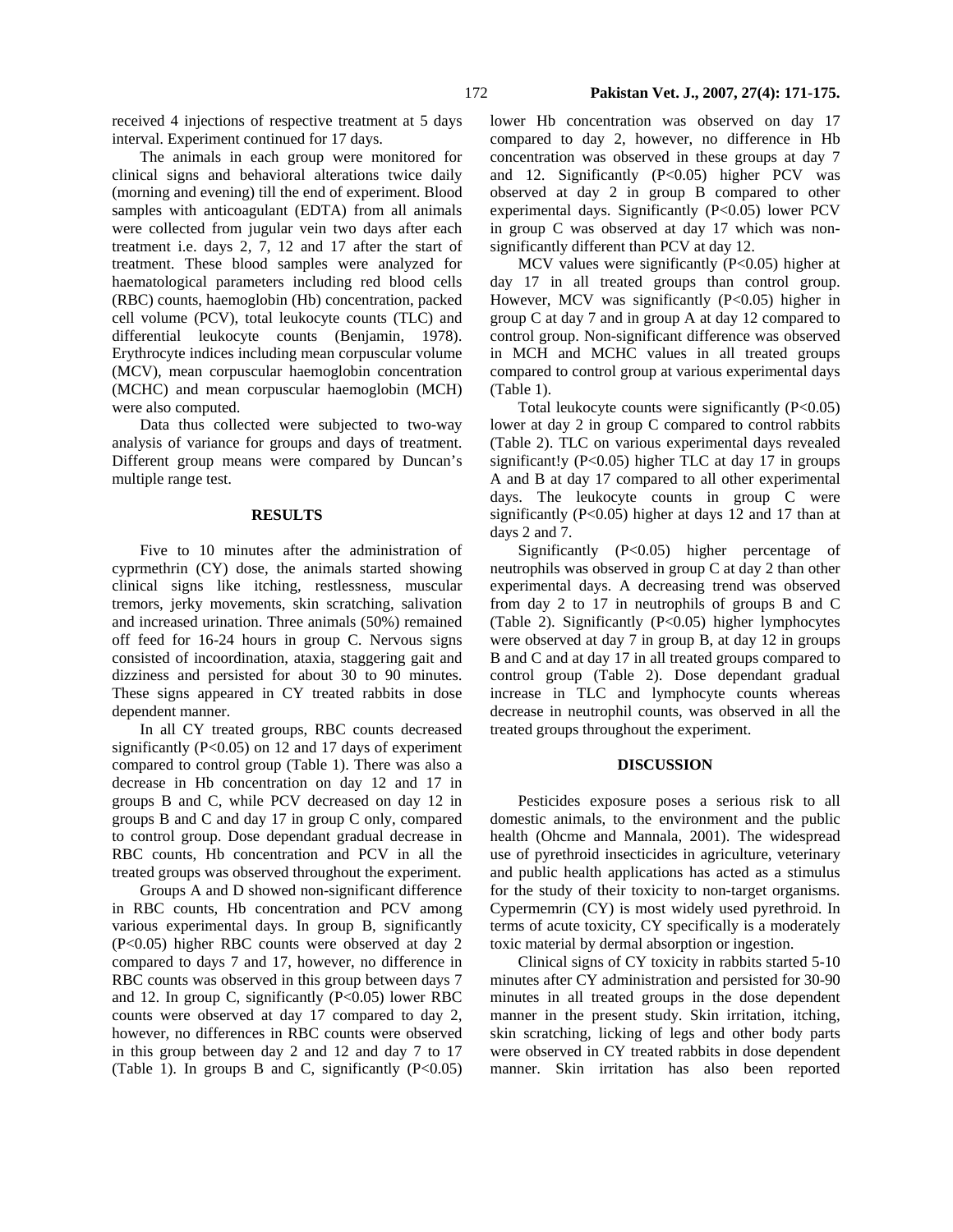received 4 injections of respective treatment at 5 days interval. Experiment continued for 17 days.

The animals in each group were monitored for clinical signs and behavioral alterations twice daily (morning and evening) till the end of experiment. Blood samples with anticoagulant (EDTA) from all animals were collected from jugular vein two days after each treatment i.e. days 2, 7, 12 and 17 after the start of treatment. These blood samples were analyzed for haematological parameters including red blood cells (RBC) counts, haemoglobin (Hb) concentration, packed cell volume (PCV), total leukocyte counts (TLC) and differential leukocyte counts (Benjamin, 1978). Erythrocyte indices including mean corpuscular volume (MCV), mean corpuscular haemoglobin concentration (MCHC) and mean corpuscular haemoglobin (MCH) were also computed.

Data thus collected were subjected to two-way analysis of variance for groups and days of treatment. Different group means were compared by Duncan's multiple range test.

### **RESULTS**

Five to 10 minutes after the administration of cyprmethrin (CY) dose, the animals started showing clinical signs like itching, restlessness, muscular tremors, jerky movements, skin scratching, salivation and increased urination. Three animals (50%) remained off feed for 16-24 hours in group C. Nervous signs consisted of incoordination, ataxia, staggering gait and dizziness and persisted for about 30 to 90 minutes. These signs appeared in CY treated rabbits in dose dependent manner.

In all CY treated groups, RBC counts decreased significantly  $(P<0.05)$  on 12 and 17 days of experiment compared to control group (Table 1). There was also a decrease in Hb concentration on day 12 and 17 in groups B and C, while PCV decreased on day 12 in groups B and C and day 17 in group C only, compared to control group. Dose dependant gradual decrease in RBC counts, Hb concentration and PCV in all the treated groups was observed throughout the experiment.

Groups A and D showed non-significant difference in RBC counts, Hb concentration and PCV among various experimental days. In group B, significantly (P<0.05) higher RBC counts were observed at day 2 compared to days 7 and 17, however, no difference in RBC counts was observed in this group between days 7 and 12. In group C, significantly  $(P<0.05)$  lower RBC counts were observed at day 17 compared to day 2, however, no differences in RBC counts were observed in this group between day 2 and 12 and day 7 to 17 (Table 1). In groups B and C, significantly  $(P<0.05)$ 

lower Hb concentration was observed on day 17 compared to day 2, however, no difference in Hb concentration was observed in these groups at day 7 and 12. Significantly (P<0.05) higher PCV was observed at day 2 in group B compared to other experimental days. Significantly (P<0.05) lower PCV in group C was observed at day 17 which was nonsignificantly different than PCV at day 12.

MCV values were significantly (P<0.05) higher at day 17 in all treated groups than control group. However, MCV was significantly (P<0.05) higher in group C at day 7 and in group A at day 12 compared to control group. Non-significant difference was observed in MCH and MCHC values in all treated groups compared to control group at various experimental days (Table 1).

Total leukocyte counts were significantly  $(P<0.05)$ lower at day 2 in group C compared to control rabbits (Table 2). TLC on various experimental days revealed significant!y (P<0.05) higher TLC at day 17 in groups A and B at day 17 compared to all other experimental days. The leukocyte counts in group C were significantly (P<0.05) higher at days 12 and 17 than at days 2 and 7.

Significantly (P<0.05) higher percentage of neutrophils was observed in group C at day 2 than other experimental days. A decreasing trend was observed from day 2 to 17 in neutrophils of groups B and C (Table 2). Significantly (P<0.05) higher lymphocytes were observed at day 7 in group B, at day 12 in groups B and C and at day 17 in all treated groups compared to control group (Table 2). Dose dependant gradual increase in TLC and lymphocyte counts whereas decrease in neutrophil counts, was observed in all the treated groups throughout the experiment.

#### **DISCUSSION**

Pesticides exposure poses a serious risk to all domestic animals, to the environment and the public health (Ohcme and Mannala, 2001). The widespread use of pyrethroid insecticides in agriculture, veterinary and public health applications has acted as a stimulus for the study of their toxicity to non-target organisms. Cypermemrin (CY) is most widely used pyrethroid. In terms of acute toxicity, CY specifically is a moderately toxic material by dermal absorption or ingestion.

Clinical signs of CY toxicity in rabbits started 5-10 minutes after CY administration and persisted for 30-90 minutes in all treated groups in the dose dependent manner in the present study. Skin irritation, itching, skin scratching, licking of legs and other body parts were observed in CY treated rabbits in dose dependent manner. Skin irritation has also been reported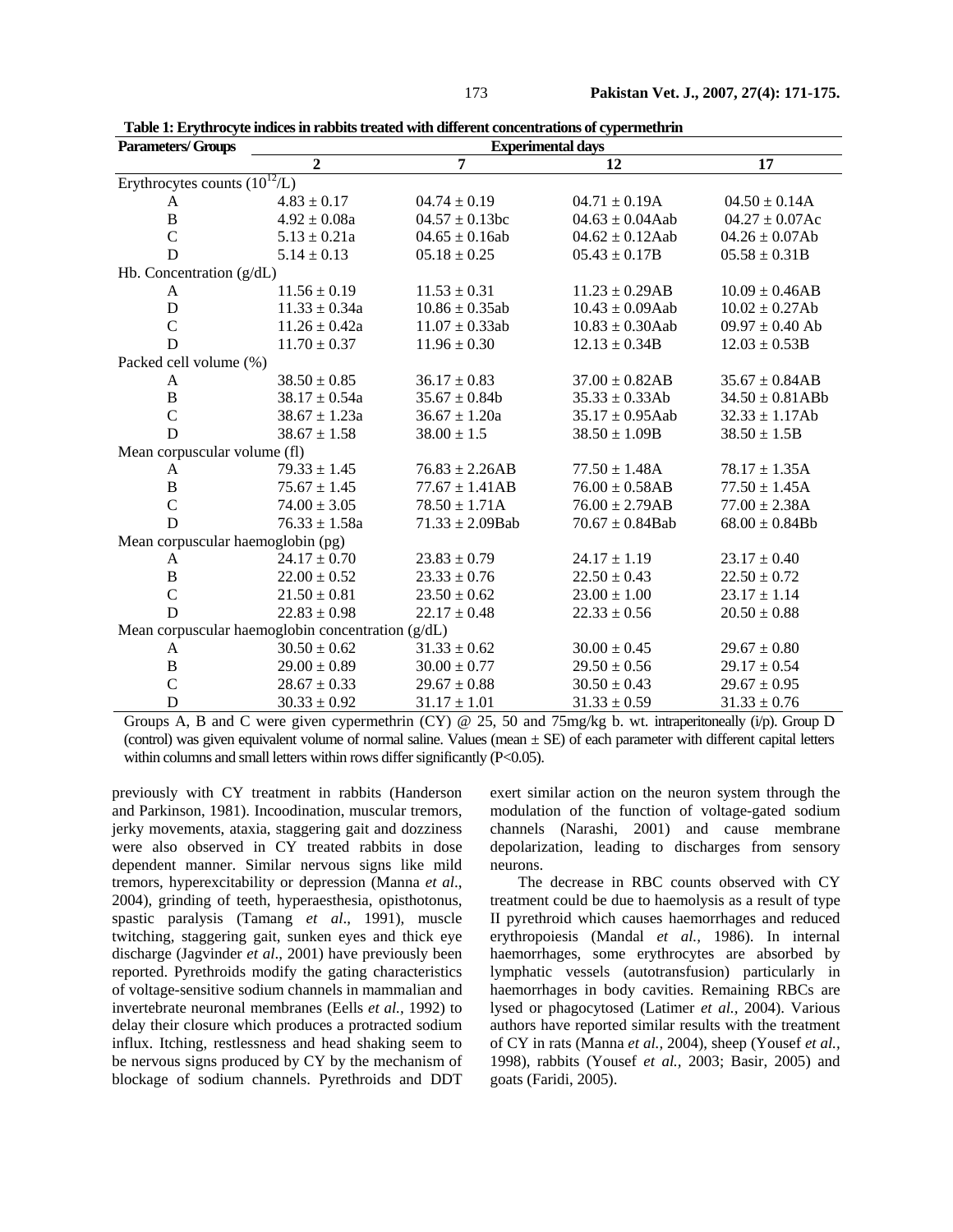| <b>Parameters/Groups</b>                          | <b>Experimental days</b> |                      |                      |                      |  |
|---------------------------------------------------|--------------------------|----------------------|----------------------|----------------------|--|
|                                                   | $\overline{2}$           | 7                    | 12                   | 17                   |  |
| Erythrocytes counts $(10^{12}/L)$                 |                          |                      |                      |                      |  |
| A                                                 | $4.83 \pm 0.17$          | $04.74 \pm 0.19$     | $04.71 \pm 0.19$ A   | $04.50 \pm 0.14$ A   |  |
| $\, {\bf B}$                                      | $4.92 \pm 0.08a$         | $04.57 \pm 0.13$ bc  | $04.63 \pm 0.04$ Aab | $04.27 \pm 0.07$ Ac  |  |
| $\mathcal{C}$                                     | $5.13 \pm 0.21a$         | $04.65 \pm 0.16$ ab  | $04.62 \pm 0.12$ Aab | $04.26 \pm 0.07Ab$   |  |
| D                                                 | $5.14 \pm 0.13$          | $05.18 \pm 0.25$     | $05.43 \pm 0.17B$    | $05.58 \pm 0.31B$    |  |
| Hb. Concentration $(g/dL)$                        |                          |                      |                      |                      |  |
| A                                                 | $11.56 \pm 0.19$         | $11.53 \pm 0.31$     | $11.23 \pm 0.29AB$   | $10.09 \pm 0.46AB$   |  |
| D                                                 | $11.33 \pm 0.34a$        | $10.86 \pm 0.35$ ab  | $10.43 \pm 0.09$ Aab | $10.02 \pm 0.27$ Ab  |  |
| $\overline{C}$                                    | $11.26 \pm 0.42a$        | $11.07 \pm 0.33$ ab  | $10.83 \pm 0.30$ Aab | $09.97 \pm 0.40$ Ab  |  |
| D                                                 | $11.70 \pm 0.37$         | $11.96 \pm 0.30$     | $12.13 \pm 0.34B$    | $12.03 \pm 0.53B$    |  |
| Packed cell volume (%)                            |                          |                      |                      |                      |  |
| A                                                 | $38.50 \pm 0.85$         | $36.17 \pm 0.83$     | $37.00 \pm 0.82AB$   | $35.67 \pm 0.84AB$   |  |
| $\, {\bf B}$                                      | $38.17 \pm 0.54a$        | $35.67 \pm 0.84b$    | $35.33 \pm 0.33Ab$   | $34.50 \pm 0.81$ ABb |  |
| $\mathcal{C}$                                     | $38.67 \pm 1.23a$        | $36.67 \pm 1.20a$    | $35.17 \pm 0.95$ Aab | $32.33 \pm 1.17Ab$   |  |
| D                                                 | $38.67 \pm 1.58$         | $38.00 \pm 1.5$      | $38.50 \pm 1.09B$    | $38.50 \pm 1.5B$     |  |
| Mean corpuscular volume (fl)                      |                          |                      |                      |                      |  |
| A                                                 | $79.33 \pm 1.45$         | $76.83 \pm 2.26AB$   | $77.50 \pm 1.48$ A   | $78.17 \pm 1.35A$    |  |
| $\, {\bf B}$                                      | $75.67 \pm 1.45$         | $77.67 \pm 1.41AB$   | $76.00 \pm 0.58AB$   | $77.50 \pm 1.45A$    |  |
| $\overline{C}$                                    | $74.00 \pm 3.05$         | $78.50 \pm 1.71A$    | $76.00 \pm 2.79AB$   | $77.00 \pm 2.38$ A   |  |
| D                                                 | $76.33 \pm 1.58a$        | $71.33 \pm 2.09$ Bab | $70.67 \pm 0.84$ Bab | $68.00 \pm 0.84Bb$   |  |
| Mean corpuscular haemoglobin (pg)                 |                          |                      |                      |                      |  |
| A                                                 | $24.17 \pm 0.70$         | $23.83 \pm 0.79$     | $24.17 \pm 1.19$     | $23.17 \pm 0.40$     |  |
| $\, {\bf B}$                                      | $22.00 \pm 0.52$         | $23.33 \pm 0.76$     | $22.50 \pm 0.43$     | $22.50 \pm 0.72$     |  |
| $\mathsf{C}$                                      | $21.50 \pm 0.81$         | $23.50 \pm 0.62$     | $23.00 \pm 1.00$     | $23.17 \pm 1.14$     |  |
| D                                                 | $22.83 \pm 0.98$         | $22.17 \pm 0.48$     | $22.33 \pm 0.56$     | $20.50 \pm 0.88$     |  |
| Mean corpuscular haemoglobin concentration (g/dL) |                          |                      |                      |                      |  |
| A                                                 | $30.50 \pm 0.62$         | $31.33 \pm 0.62$     | $30.00 \pm 0.45$     | $29.67 \pm 0.80$     |  |
| $\, {\bf B}$                                      | $29.00 \pm 0.89$         | $30.00 \pm 0.77$     | $29.50 \pm 0.56$     | $29.17 \pm 0.54$     |  |
| $\mathsf{C}$                                      | $28.67 \pm 0.33$         | $29.67 \pm 0.88$     | $30.50 \pm 0.43$     | $29.67 \pm 0.95$     |  |
| D                                                 | $30.33 \pm 0.92$         | $31.17 \pm 1.01$     | $31.33 \pm 0.59$     | $31.33 \pm 0.76$     |  |

**Table 1: Erythrocyte indices in rabbits treated with different concentrations of cypermethrin** 

Groups A, B and C were given cypermethrin (CY)  $\circledcirc$  25, 50 and 75mg/kg b. wt. intraperitoneally (i/p). Group D (control) was given equivalent volume of normal saline. Values (mean  $\pm$  SE) of each parameter with different capital letters within columns and small letters within rows differ significantly (P<0.05).

previously with CY treatment in rabbits (Handerson and Parkinson, 1981). Incoodination, muscular tremors, jerky movements, ataxia, staggering gait and dozziness were also observed in CY treated rabbits in dose dependent manner. Similar nervous signs like mild tremors, hyperexcitability or depression (Manna *et al*., 2004), grinding of teeth, hyperaesthesia, opisthotonus, spastic paralysis (Tamang *et al*., 1991), muscle twitching, staggering gait, sunken eyes and thick eye discharge (Jagvinder *et al*., 2001) have previously been reported. Pyrethroids modify the gating characteristics of voltage-sensitive sodium channels in mammalian and invertebrate neuronal membranes (Eells *et al.,* 1992) to delay their closure which produces a protracted sodium influx. Itching, restlessness and head shaking seem to be nervous signs produced by CY by the mechanism of blockage of sodium channels. Pyrethroids and DDT

exert similar action on the neuron system through the modulation of the function of voltage-gated sodium channels (Narashi, 2001) and cause membrane depolarization, leading to discharges from sensory neurons.

The decrease in RBC counts observed with CY treatment could be due to haemolysis as a result of type II pyrethroid which causes haemorrhages and reduced erythropoiesis (Mandal *et al.,* 1986). In internal haemorrhages, some erythrocytes are absorbed by lymphatic vessels (autotransfusion) particularly in haemorrhages in body cavities. Remaining RBCs are lysed or phagocytosed (Latimer *et al.,* 2004). Various authors have reported similar results with the treatment of CY in rats (Manna *et al.,* 2004), sheep (Yousef *et al.,* 1998), rabbits (Yousef *et al.,* 2003; Basir, 2005) and goats (Faridi, 2005).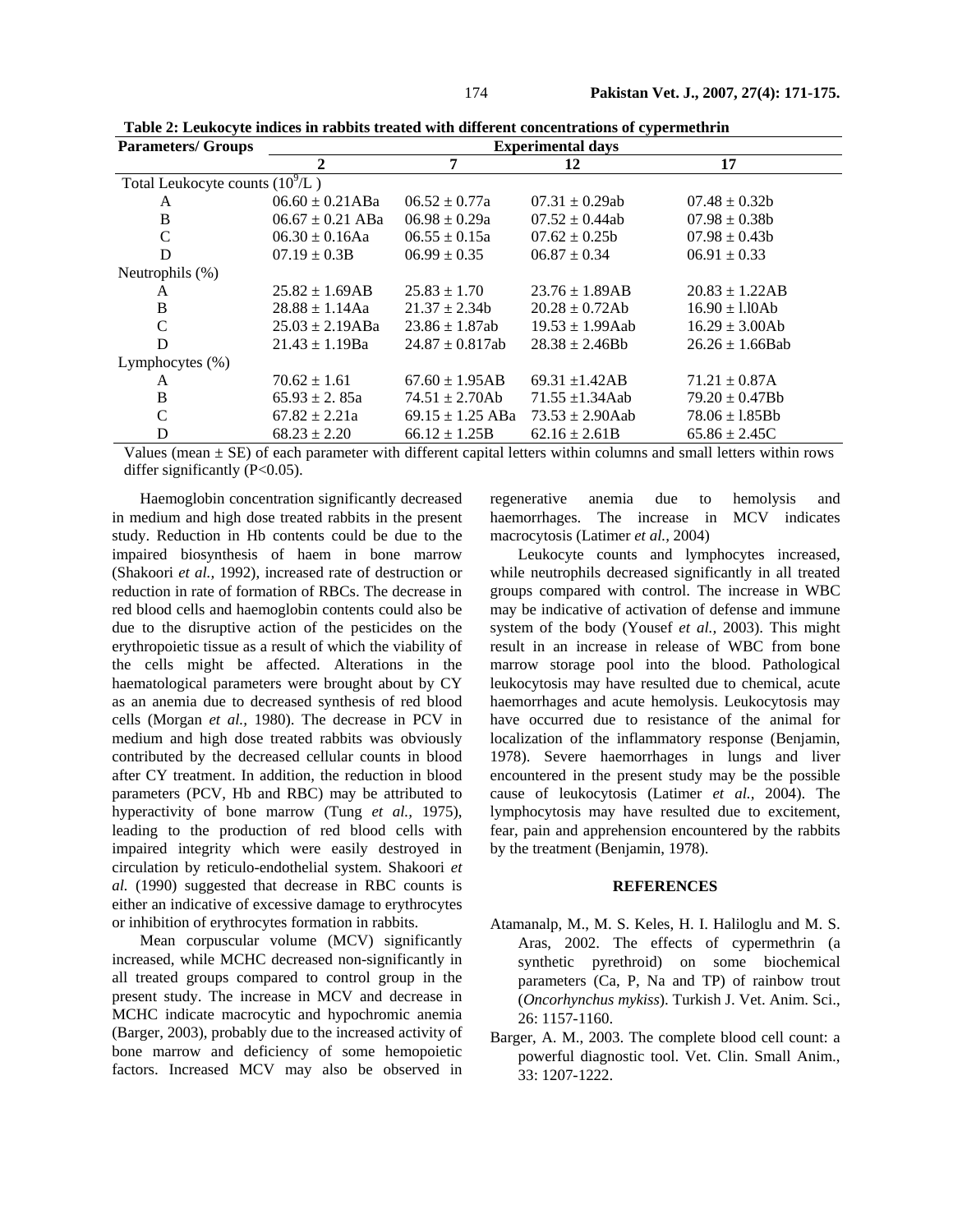| <b>Parameters/ Groups</b>         | <b>Experimental days</b> |                      |                      |                      |  |  |  |
|-----------------------------------|--------------------------|----------------------|----------------------|----------------------|--|--|--|
|                                   | $\mathbf{2}$             | 7                    | 12                   | 17                   |  |  |  |
| Total Leukocyte counts $(10^9/L)$ |                          |                      |                      |                      |  |  |  |
| A                                 | $06.60 \pm 0.21$ ABa     | $06.52 \pm 0.77a$    | $07.31 \pm 0.29$ ab  | $07.48 \pm 0.32$     |  |  |  |
| B                                 | $06.67 \pm 0.21$ ABa     | $06.98 \pm 0.29a$    | $07.52 \pm 0.44ab$   | $07.98 \pm 0.38$     |  |  |  |
| $\mathcal{C}$                     | $06.30 \pm 0.16$ Aa      | $06.55 \pm 0.15a$    | $07.62 \pm 0.25b$    | $07.98 \pm 0.43b$    |  |  |  |
| D                                 | $07.19 \pm 0.3B$         | $06.99 \pm 0.35$     | $06.87 \pm 0.34$     | $06.91 \pm 0.33$     |  |  |  |
| Neutrophils (%)                   |                          |                      |                      |                      |  |  |  |
| A                                 | $25.82 \pm 1.69AB$       | $25.83 \pm 1.70$     | $23.76 \pm 1.89AB$   | $20.83 \pm 1.22AB$   |  |  |  |
| B                                 | $28.88 \pm 1.14$ Aa      | $21.37 \pm 2.34b$    | $20.28 \pm 0.72Ab$   | $16.90 \pm 1.10$ Ab  |  |  |  |
| $\mathcal{C}$                     | $25.03 \pm 2.19$ ABa     | $23.86 \pm 1.87$ ab  | $19.53 \pm 1.99$ Aab | $16.29 \pm 3.00Ab$   |  |  |  |
| D                                 | $21.43 \pm 1.19$ Ba      | $24.87 \pm 0.817$ ab | $28.38 \pm 2.46$ Bh  | $26.26 \pm 1.66$ Bab |  |  |  |
| Lymphocytes $(\%)$                |                          |                      |                      |                      |  |  |  |
| A                                 | $70.62 \pm 1.61$         | $67.60 \pm 1.95AB$   | 69.31 $\pm$ 1.42AB   | $71.21 \pm 0.87$ A   |  |  |  |
| B                                 | $65.93 \pm 2.85a$        | $74.51 \pm 2.70Ab$   | $71.55 \pm 1.34$ Aab | $79.20 \pm 0.47Bb$   |  |  |  |
| $\mathcal{C}$                     | $67.82 \pm 2.21a$        | $69.15 \pm 1.25$ ABa | $73.53 \pm 2.90$ Aab | $78.06 \pm 1.85$ Bb  |  |  |  |
| D                                 | $68.23 \pm 2.20$         | $66.12 \pm 1.25B$    | $62.16 \pm 2.61B$    | $65.86 \pm 2.45C$    |  |  |  |

**Table 2: Leukocyte indices in rabbits treated with different concentrations of cypermethrin** 

Values (mean  $\pm$  SE) of each parameter with different capital letters within columns and small letters within rows differ significantly (P<0.05).

Haemoglobin concentration significantly decreased in medium and high dose treated rabbits in the present study. Reduction in Hb contents could be due to the impaired biosynthesis of haem in bone marrow (Shakoori *et al.,* 1992), increased rate of destruction or reduction in rate of formation of RBCs. The decrease in red blood cells and haemoglobin contents could also be due to the disruptive action of the pesticides on the erythropoietic tissue as a result of which the viability of the cells might be affected. Alterations in the haematological parameters were brought about by CY as an anemia due to decreased synthesis of red blood cells (Morgan *et al.,* 1980). The decrease in PCV in medium and high dose treated rabbits was obviously contributed by the decreased cellular counts in blood after CY treatment. In addition, the reduction in blood parameters (PCV, Hb and RBC) may be attributed to hyperactivity of bone marrow (Tung *et al.,* 1975), leading to the production of red blood cells with impaired integrity which were easily destroyed in circulation by reticulo-endothelial system. Shakoori *et al.* (1990) suggested that decrease in RBC counts is either an indicative of excessive damage to erythrocytes or inhibition of erythrocytes formation in rabbits.

Mean corpuscular volume (MCV) significantly increased, while MCHC decreased non-significantly in all treated groups compared to control group in the present study. The increase in MCV and decrease in MCHC indicate macrocytic and hypochromic anemia (Barger, 2003), probably due to the increased activity of bone marrow and deficiency of some hemopoietic factors. Increased MCV may also be observed in

regenerative anemia due to hemolysis and haemorrhages. The increase in MCV indicates macrocytosis (Latimer *et al.,* 2004)

Leukocyte counts and lymphocytes increased, while neutrophils decreased significantly in all treated groups compared with control. The increase in WBC may be indicative of activation of defense and immune system of the body (Yousef *et al.,* 2003). This might result in an increase in release of WBC from bone marrow storage pool into the blood. Pathological leukocytosis may have resulted due to chemical, acute haemorrhages and acute hemolysis. Leukocytosis may have occurred due to resistance of the animal for localization of the inflammatory response (Benjamin, 1978). Severe haemorrhages in lungs and liver encountered in the present study may be the possible cause of leukocytosis (Latimer *et al.,* 2004). The lymphocytosis may have resulted due to excitement, fear, pain and apprehension encountered by the rabbits by the treatment (Benjamin, 1978).

#### **REFERENCES**

- Atamanalp, M., M. S. Keles, H. I. Haliloglu and M. S. Aras, 2002. The effects of cypermethrin (a synthetic pyrethroid) on some biochemical parameters (Ca, P, Na and TP) of rainbow trout (*Oncorhynchus mykiss*). Turkish J. Vet. Anim. Sci., 26: 1157-1160.
- Barger, A. M., 2003. The complete blood cell count: a powerful diagnostic tool. Vet. Clin. Small Anim., 33: 1207-1222.